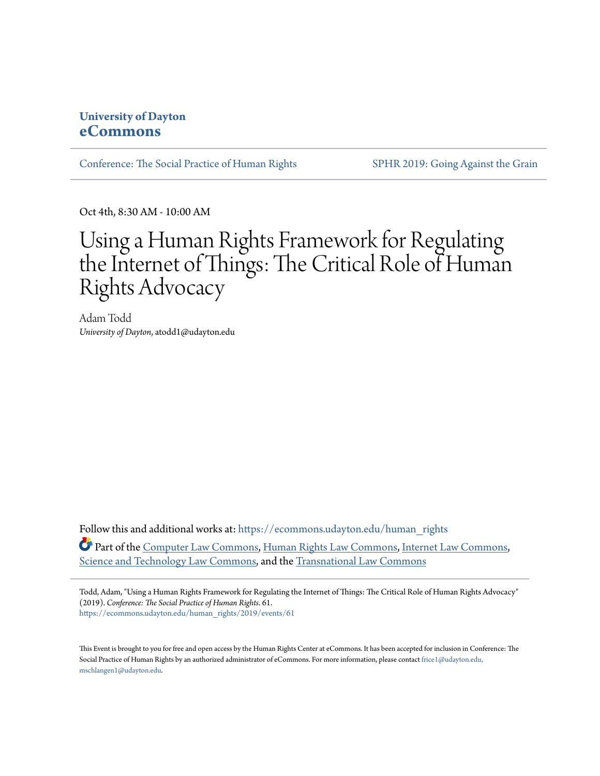### **University of Dayton [eCommons](https://ecommons.udayton.edu/?utm_source=ecommons.udayton.edu%2Fhuman_rights%2F2019%2Fevents%2F61&utm_medium=PDF&utm_campaign=PDFCoverPages)**

[Conference: The Social Practice of Human Rights](https://ecommons.udayton.edu/human_rights?utm_source=ecommons.udayton.edu%2Fhuman_rights%2F2019%2Fevents%2F61&utm_medium=PDF&utm_campaign=PDFCoverPages) [SPHR 2019: Going Against the Grain](https://ecommons.udayton.edu/human_rights/2019?utm_source=ecommons.udayton.edu%2Fhuman_rights%2F2019%2Fevents%2F61&utm_medium=PDF&utm_campaign=PDFCoverPages)

Oct 4th, 8:30 AM - 10:00 AM

## Using a Human Rights Framework for Regulating the Internet of Things: The Critical Role of Human Rights Advocacy

Adam Todd *University of Dayton*, atodd1@udayton.edu

Follow this and additional works at: [https://ecommons.udayton.edu/human\\_rights](https://ecommons.udayton.edu/human_rights?utm_source=ecommons.udayton.edu%2Fhuman_rights%2F2019%2Fevents%2F61&utm_medium=PDF&utm_campaign=PDFCoverPages) Part of the [Computer Law Commons,](http://network.bepress.com/hgg/discipline/837?utm_source=ecommons.udayton.edu%2Fhuman_rights%2F2019%2Fevents%2F61&utm_medium=PDF&utm_campaign=PDFCoverPages) [Human Rights Law Commons,](http://network.bepress.com/hgg/discipline/847?utm_source=ecommons.udayton.edu%2Fhuman_rights%2F2019%2Fevents%2F61&utm_medium=PDF&utm_campaign=PDFCoverPages) [Internet Law Commons](http://network.bepress.com/hgg/discipline/892?utm_source=ecommons.udayton.edu%2Fhuman_rights%2F2019%2Fevents%2F61&utm_medium=PDF&utm_campaign=PDFCoverPages), [Science and Technology Law Commons](http://network.bepress.com/hgg/discipline/875?utm_source=ecommons.udayton.edu%2Fhuman_rights%2F2019%2Fevents%2F61&utm_medium=PDF&utm_campaign=PDFCoverPages), and the [Transnational Law Commons](http://network.bepress.com/hgg/discipline/1123?utm_source=ecommons.udayton.edu%2Fhuman_rights%2F2019%2Fevents%2F61&utm_medium=PDF&utm_campaign=PDFCoverPages)

Todd, Adam, "Using a Human Rights Framework for Regulating the Internet of Things: The Critical Role of Human Rights Advocacy" (2019). *Conference: The Social Practice of Human Rights*. 61. [https://ecommons.udayton.edu/human\\_rights/2019/events/61](https://ecommons.udayton.edu/human_rights/2019/events/61?utm_source=ecommons.udayton.edu%2Fhuman_rights%2F2019%2Fevents%2F61&utm_medium=PDF&utm_campaign=PDFCoverPages)

This Event is brought to you for free and open access by the Human Rights Center at eCommons. It has been accepted for inclusion in Conference: The Social Practice of Human Rights by an authorized administrator of eCommons. For more information, please contact [frice1@udayton.edu,](mailto:frice1@udayton.edu,%20mschlangen1@udayton.edu) [mschlangen1@udayton.edu.](mailto:frice1@udayton.edu,%20mschlangen1@udayton.edu)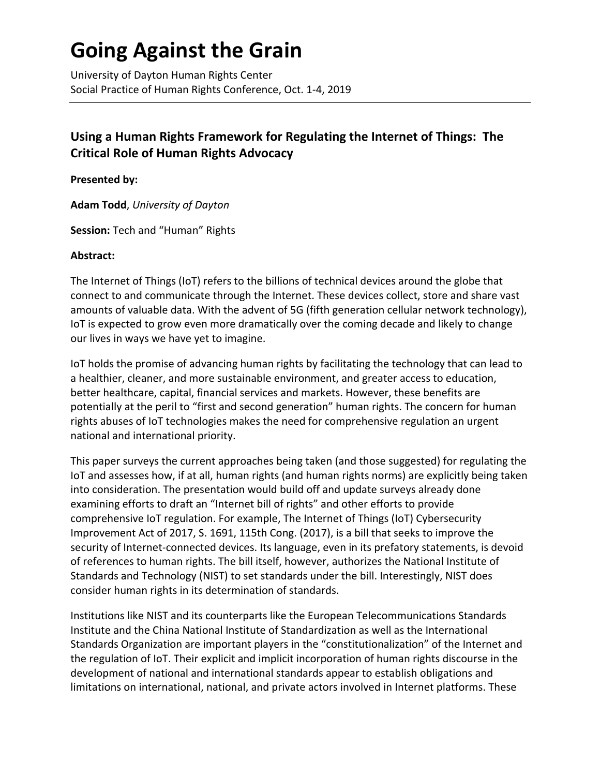# **Going Against the Grain**

University of Dayton Human Rights Center Social Practice of Human Rights Conference, Oct. 1-4, 2019

## **Using a Human Rights Framework for Regulating the Internet of Things: The Critical Role of Human Rights Advocacy**

**Presented by:**

**Adam Todd**, *University of Dayton*

**Session:** Tech and "Human" Rights

#### **Abstract:**

The Internet of Things (IoT) refers to the billions of technical devices around the globe that connect to and communicate through the Internet. These devices collect, store and share vast amounts of valuable data. With the advent of 5G (fifth generation cellular network technology), IoT is expected to grow even more dramatically over the coming decade and likely to change our lives in ways we have yet to imagine.

IoT holds the promise of advancing human rights by facilitating the technology that can lead to a healthier, cleaner, and more sustainable environment, and greater access to education, better healthcare, capital, financial services and markets. However, these benefits are potentially at the peril to "first and second generation" human rights. The concern for human rights abuses of IoT technologies makes the need for comprehensive regulation an urgent national and international priority.

This paper surveys the current approaches being taken (and those suggested) for regulating the IoT and assesses how, if at all, human rights (and human rights norms) are explicitly being taken into consideration. The presentation would build off and update surveys already done examining efforts to draft an "Internet bill of rights" and other efforts to provide comprehensive IoT regulation. For example, The Internet of Things (IoT) Cybersecurity Improvement Act of 2017, S. 1691, 115th Cong. (2017), is a bill that seeks to improve the security of Internet-connected devices. Its language, even in its prefatory statements, is devoid of references to human rights. The bill itself, however, authorizes the National Institute of Standards and Technology (NIST) to set standards under the bill. Interestingly, NIST does consider human rights in its determination of standards.

Institutions like NIST and its counterparts like the European Telecommunications Standards Institute and the China National Institute of Standardization as well as the International Standards Organization are important players in the "constitutionalization" of the Internet and the regulation of IoT. Their explicit and implicit incorporation of human rights discourse in the development of national and international standards appear to establish obligations and limitations on international, national, and private actors involved in Internet platforms. These